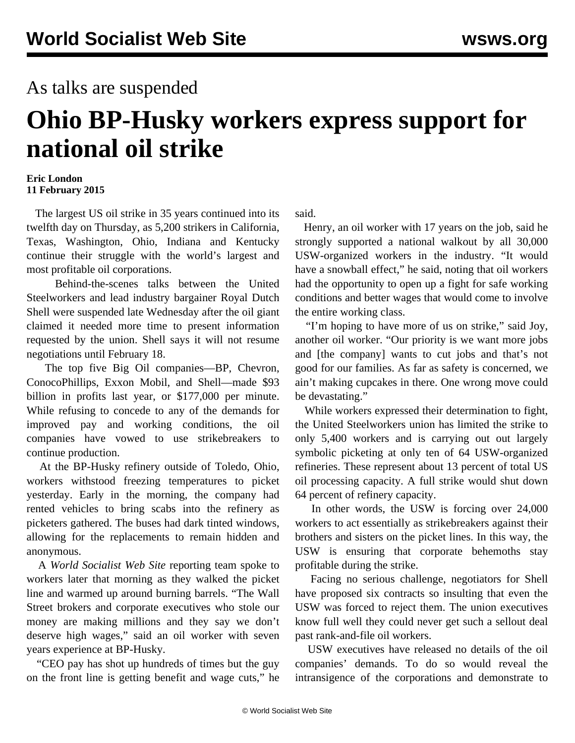## As talks are suspended

## **Ohio BP-Husky workers express support for national oil strike**

## **Eric London 11 February 2015**

 The largest US oil strike in 35 years continued into its twelfth day on Thursday, as 5,200 strikers in California, Texas, Washington, Ohio, Indiana and Kentucky continue their struggle with the world's largest and most profitable oil corporations.

 Behind-the-scenes talks between the United Steelworkers and lead industry bargainer Royal Dutch Shell were suspended late Wednesday after the oil giant claimed it needed more time to present information requested by the union. Shell says it will not resume negotiations until February 18.

 The top five Big Oil companies—BP, Chevron, ConocoPhillips, Exxon Mobil, and Shell—made \$93 billion in profits last year, or \$177,000 per minute. While refusing to concede to any of the demands for improved pay and working conditions, the oil companies have vowed to use strikebreakers to continue production.

 At the BP-Husky refinery outside of Toledo, Ohio, workers withstood freezing temperatures to picket yesterday. Early in the morning, the company had rented vehicles to bring scabs into the refinery as picketers gathered. The buses had dark tinted windows, allowing for the replacements to remain hidden and anonymous.

 A *World Socialist Web Site* reporting team spoke to workers later that morning as they walked the picket line and warmed up around burning barrels. "The Wall Street brokers and corporate executives who stole our money are making millions and they say we don't deserve high wages," said an oil worker with seven years experience at BP-Husky.

 "CEO pay has shot up hundreds of times but the guy on the front line is getting benefit and wage cuts," he said.

 Henry, an oil worker with 17 years on the job, said he strongly supported a national walkout by all 30,000 USW-organized workers in the industry. "It would have a snowball effect," he said, noting that oil workers had the opportunity to open up a fight for safe working conditions and better wages that would come to involve the entire working class.

 "I'm hoping to have more of us on strike," said Joy, another oil worker. "Our priority is we want more jobs and [the company] wants to cut jobs and that's not good for our families. As far as safety is concerned, we ain't making cupcakes in there. One wrong move could be devastating."

 While workers expressed their determination to fight, the United Steelworkers union has limited the strike to only 5,400 workers and is carrying out out largely symbolic picketing at only ten of 64 USW-organized refineries. These represent about 13 percent of total US oil processing capacity. A full strike would shut down 64 percent of refinery capacity.

 In other words, the USW is forcing over 24,000 workers to act essentially as strikebreakers against their brothers and sisters on the picket lines. In this way, the USW is ensuring that corporate behemoths stay profitable during the strike.

 Facing no serious challenge, negotiators for Shell have proposed six contracts so insulting that even the USW was forced to reject them. The union executives know full well they could never get such a sellout deal past rank-and-file oil workers.

 USW executives have released no details of the oil companies' demands. To do so would reveal the intransigence of the corporations and demonstrate to